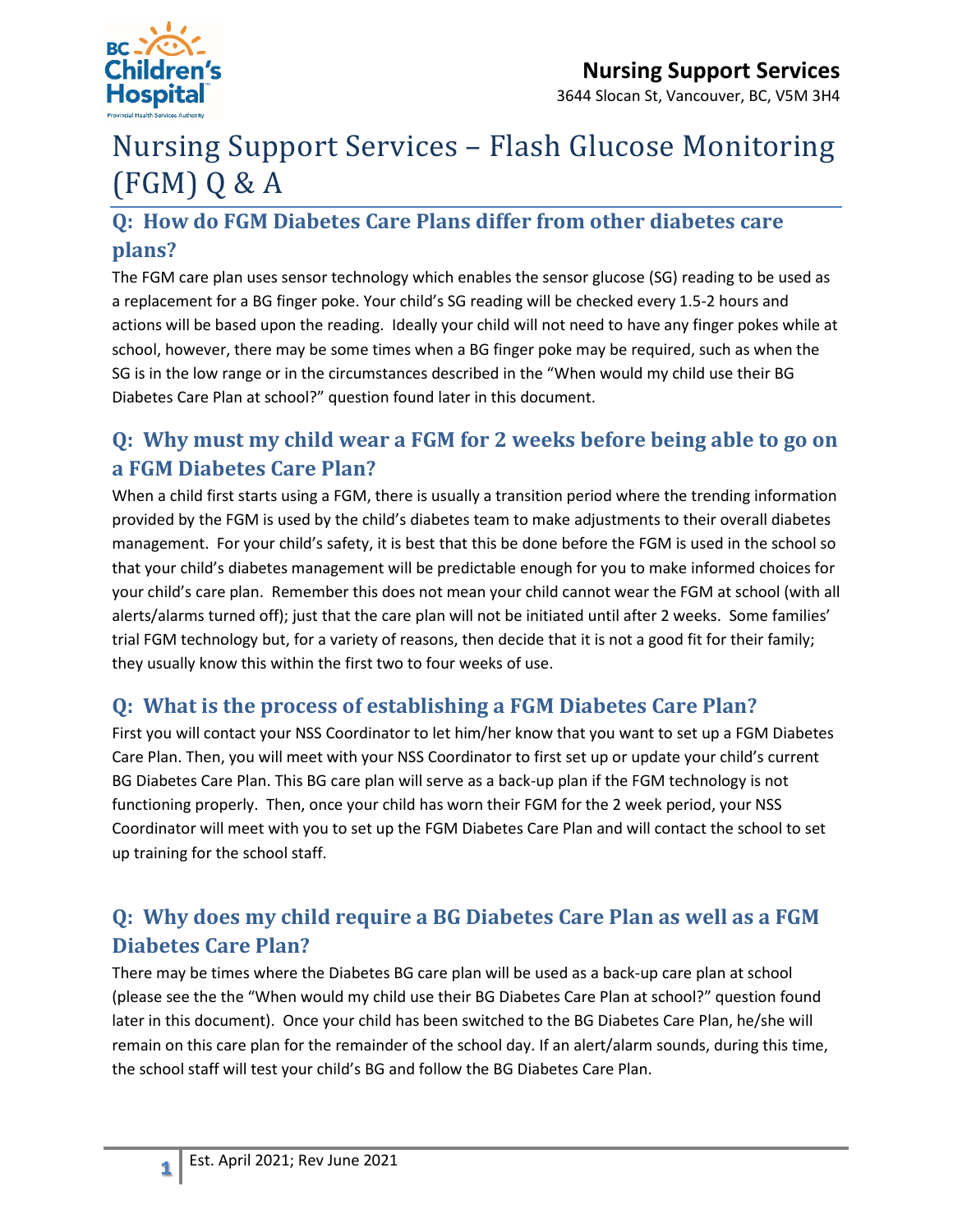

# Nursing Support Services – Flash Glucose Monitoring (FGM) Q & A

# **Q: How do FGM Diabetes Care Plans differ from other diabetes care plans?**

The FGM care plan uses sensor technology which enables the sensor glucose (SG) reading to be used as a replacement for a BG finger poke. Your child's SG reading will be checked every 1.5-2 hours and actions will be based upon the reading. Ideally your child will not need to have any finger pokes while at school, however, there may be some times when a BG finger poke may be required, such as when the SG is in the low range or in the circumstances described in the "When would my child use their BG Diabetes Care Plan at school?" question found later in this document.

# **Q: Why must my child wear a FGM for 2 weeks before being able to go on a FGM Diabetes Care Plan?**

When a child first starts using a FGM, there is usually a transition period where the trending information provided by the FGM is used by the child's diabetes team to make adjustments to their overall diabetes management. For your child's safety, it is best that this be done before the FGM is used in the school so that your child's diabetes management will be predictable enough for you to make informed choices for your child's care plan. Remember this does not mean your child cannot wear the FGM at school (with all alerts/alarms turned off); just that the care plan will not be initiated until after 2 weeks. Some families' trial FGM technology but, for a variety of reasons, then decide that it is not a good fit for their family; they usually know this within the first two to four weeks of use.

### **Q: What is the process of establishing a FGM Diabetes Care Plan?**

First you will contact your NSS Coordinator to let him/her know that you want to set up a FGM Diabetes Care Plan. Then, you will meet with your NSS Coordinator to first set up or update your child's current BG Diabetes Care Plan. This BG care plan will serve as a back-up plan if the FGM technology is not functioning properly. Then, once your child has worn their FGM for the 2 week period, your NSS Coordinator will meet with you to set up the FGM Diabetes Care Plan and will contact the school to set up training for the school staff.

# **Q: Why does my child require a BG Diabetes Care Plan as well as a FGM Diabetes Care Plan?**

There may be times where the Diabetes BG care plan will be used as a back-up care plan at school (please see the the "When would my child use their BG Diabetes Care Plan at school?" question found later in this document). Once your child has been switched to the BG Diabetes Care Plan, he/she will remain on this care plan for the remainder of the school day. If an alert/alarm sounds, during this time, the school staff will test your child's BG and follow the BG Diabetes Care Plan.